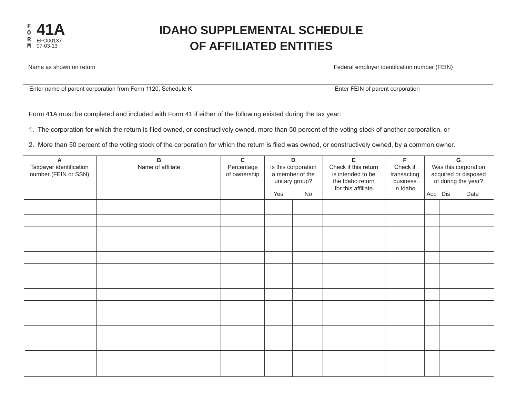

## **IDAHO SUPPLEMENTAL SCHEDULE OF AFFILIATED ENTITIES**

| Name as shown on return                                     | Federal employer identifcation number (FEIN) |  |  |  |  |
|-------------------------------------------------------------|----------------------------------------------|--|--|--|--|
|                                                             |                                              |  |  |  |  |
| Enter name of parent corporation from Form 1120, Schedule K | Enter FEIN of parent corporation             |  |  |  |  |
|                                                             |                                              |  |  |  |  |

Form 41A must be completed and included with Form 41 if either of the following existed during the tax year:

1. The corporation for which the return is filed owned, or constructively owned, more than 50 percent of the voting stock of another corporation, or

2. More than 50 percent of the voting stock of the corporation for which the return is filed was owned, or constructively owned, by a common owner.

| A<br>Taxpayer identification<br>number (FEIN or SSN) | в<br>Name of affiliate | $\mathbf c$<br>Percentage<br>of ownership | D<br>Is this corporation<br>a member of the<br>unitary group? |    |  |  |         |  | E<br>Check if this return<br>is intended to be<br>the Idaho return<br>for this affiliate | F<br>Check if<br>transacting<br>business<br>in Idaho | G<br>Was this corporation<br>acquired or disposed<br>of during the year? |  |  |
|------------------------------------------------------|------------------------|-------------------------------------------|---------------------------------------------------------------|----|--|--|---------|--|------------------------------------------------------------------------------------------|------------------------------------------------------|--------------------------------------------------------------------------|--|--|
|                                                      |                        |                                           | Yes                                                           | No |  |  | Acq Dis |  | Date                                                                                     |                                                      |                                                                          |  |  |
|                                                      |                        |                                           |                                                               |    |  |  |         |  |                                                                                          |                                                      |                                                                          |  |  |
|                                                      |                        |                                           |                                                               |    |  |  |         |  |                                                                                          |                                                      |                                                                          |  |  |
|                                                      |                        |                                           |                                                               |    |  |  |         |  |                                                                                          |                                                      |                                                                          |  |  |
|                                                      |                        |                                           |                                                               |    |  |  |         |  |                                                                                          |                                                      |                                                                          |  |  |
|                                                      |                        |                                           |                                                               |    |  |  |         |  |                                                                                          |                                                      |                                                                          |  |  |
|                                                      |                        |                                           |                                                               |    |  |  |         |  |                                                                                          |                                                      |                                                                          |  |  |
|                                                      |                        |                                           |                                                               |    |  |  |         |  |                                                                                          |                                                      |                                                                          |  |  |
|                                                      |                        |                                           |                                                               |    |  |  |         |  |                                                                                          |                                                      |                                                                          |  |  |
|                                                      |                        |                                           |                                                               |    |  |  |         |  |                                                                                          |                                                      |                                                                          |  |  |
|                                                      |                        |                                           |                                                               |    |  |  |         |  |                                                                                          |                                                      |                                                                          |  |  |
|                                                      |                        |                                           |                                                               |    |  |  |         |  |                                                                                          |                                                      |                                                                          |  |  |
|                                                      |                        |                                           |                                                               |    |  |  |         |  |                                                                                          |                                                      |                                                                          |  |  |
|                                                      |                        |                                           |                                                               |    |  |  |         |  |                                                                                          |                                                      |                                                                          |  |  |
|                                                      |                        |                                           |                                                               |    |  |  |         |  |                                                                                          |                                                      |                                                                          |  |  |